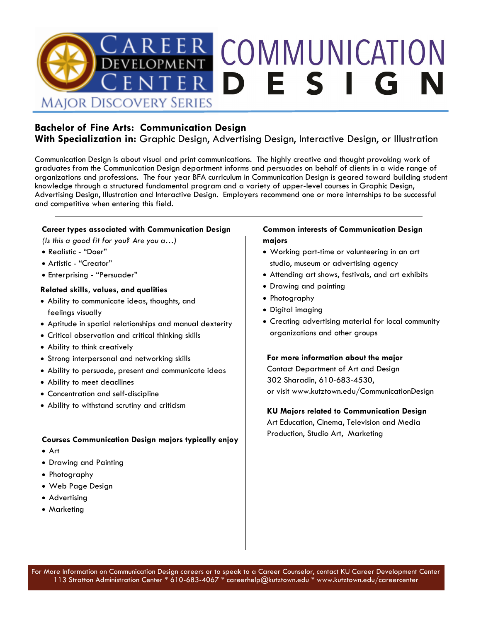

### **Bachelor of Fine Arts: Communication Design**

**With Specialization in:** Graphic Design, Advertising Design, Interactive Design, or Illustration

Communication Design is about visual and print communications. The highly creative and thought provoking work of graduates from the Communication Design department informs and persuades on behalf of clients in a wide range of organizations and professions. The four year BFA curriculum in Communication Design is geared toward building student knowledge through a structured fundamental program and a variety of upper-level courses in Graphic Design, Advertising Design, Illustration and Interactive Design. Employers recommend one or more internships to be successful and competitive when entering this field.

#### **Career types associated with Communication Design**

*(Is this a good fit for you? Are you a…)*

- Realistic "Doer"
- Artistic "Creator"
- Enterprising "Persuader"

#### **Related skills, values, and qualities**

- Ability to communicate ideas, thoughts, and feelings visually
- Aptitude in spatial relationships and manual dexterity
- Critical observation and critical thinking skills
- Ability to think creatively
- Strong interpersonal and networking skills
- Ability to persuade, present and communicate ideas
- Ability to meet deadlines
- Concentration and self-discipline
- Ability to withstand scrutiny and criticism

#### **Courses Communication Design majors typically enjoy**

- Art
- Drawing and Painting
- Photography
- Web Page Design
- Advertising
- Marketing

#### **Common interests of Communication Design majors**

- Working part-time or volunteering in an art studio, museum or advertising agency
- Attending art shows, festivals, and art exhibits
- Drawing and painting
- Photography
- Digital imaging
- Creating advertising material for local community organizations and other groups

#### **For more information about the major**

Contact Department of Art and Design 302 Sharadin, 610-683-4530, or visit www.kutztown.edu/CommunicationDesign

#### **KU Majors related to Communication Design**

Art Education, Cinema, Television and Media Production, Studio Art, Marketing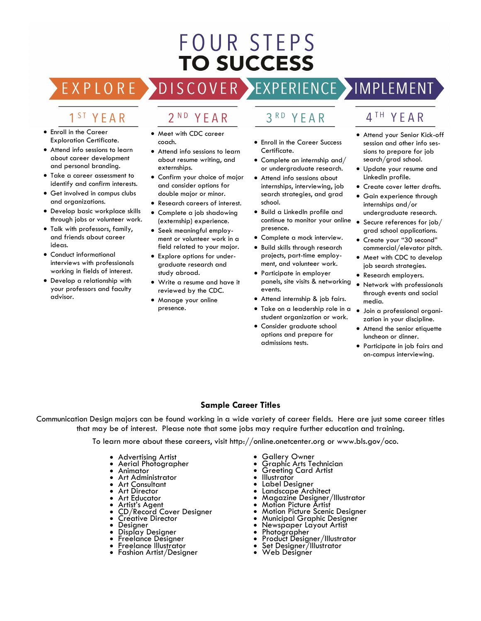## **FOUR STEPS TO SUCCESS**

EXPLORE >  $DIS$ 

# $2^{ND}$

YEAR

## 1<sup>ST</sup> YEAR

- Enroll in the Career Exploration Certificate.
- Attend info sessions to learn about career development and personal branding.
- Take a career assessment to identify and confirm interests.
- Get involved in campus clubs and organizations.
- Develop basic workplace skills through jobs or volunteer work.
- Talk with professors, family, and friends about career ideas.
- Conduct informational interviews with professionals working in fields of interest.
- Develop a relationship with your professors and faculty advisor.

#### • Meet with CDC career coach.

- Attend info sessions to learn about resume writing, and externships.
- Confirm your choice of major and consider options for double major or minor.
- Research careers of interest.
- Complete a job shadowing (externship) experience.
- Seek meaningful employment or volunteer work in a field related to your major.
- Explore options for undergraduate research and study abroad.
- Write a resume and have it reviewed by the CDC.
- Manage your online presence.

#### $3<sup>RD</sup>$ YEAR

- Enroll in the Career Success Certificate.
- Complete an internship and/ or undergraduate research.
- Attend info sessions about internships, interviewing, job search strategies, and grad school.
- Build a LinkedIn profile and continue to monitor your online presence.
- Complete a mock interview.
- Build skills through research projects, part-time employment, and volunteer work.
- Participate in employer panels, site visits & networking events.
- Attend internship & job fairs.
- Take on a leadership role in a student organization or work.
- Consider graduate school options and prepare for admissions tests.

## 4TH YEAR

- Attend your Senior Kick-off session and other info sessions to prepare for job search/grad school.
- Update your resume and LinkedIn profile.
- Create cover letter drafts.
- Gain experience through internships and/or undergraduate research.
- Secure references for job/ grad school applications.
- Create your "30 second" commercial/elevator pitch.
- Meet with CDC to develop job search strategies.
- Research employers.
- Network with professionals through events and social media.
- Join a professional organization in your discipline.
- Attend the senior etiquette luncheon or dinner.
- Participate in job fairs and on-campus interviewing.

#### **Sample Career Titles**

Communication Design majors can be found working in a wide variety of career fields. Here are just some career titles that may be of interest. Please note that some jobs may require further education and training.

To learn more about these careers, visit http://online.onetcenter.org or www.bls.gov/oco.

- Advertising Artist
- Aerial Photographer
- Animator
- Art Administrator
- Art Consultant
- Art Director
- Art Educator
- Artist's Agent
- CD/Record Cover Designer
- Créative Director
- Designer
- Display Designer
- Freelance Designer • Freelance Illustrator
- 
- Fashion Artist/Designer
- Gallery Owner
- Graphic Arts Technician
- Greeting Card Artist
- **Illustrator**
- Label Designer
- Landscape Architect
- Magazine Designer/Illustrator
- Motion Picture Artist
- Motion Picture Scenic Designer • Municipal Graphic Designer
- Newspaper Layout Artist
- Photographer
- Product Designer/Illustrator
- Set Designer/Illustrator
- Web Designer

EXPERIENCE IMPLEMENT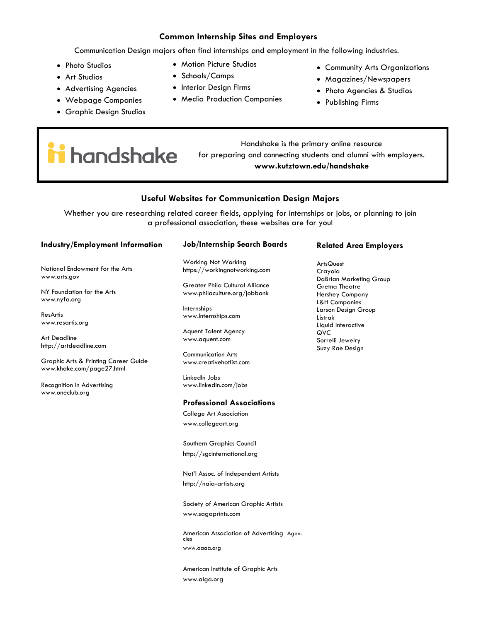#### **Common Internship Sites and Employers**

Communication Design majors often find internships and employment in the following industries.

- Photo Studios
- Art Studios
- Advertising Agencies
- Webpage Companies
- Graphic Design Studios
- Motion Picture Studios
- Schools/Camps
- Interior Design Firms
- Media Production Companies
- Community Arts Organizations
- Magazines/Newspapers
- Photo Agencies & Studios
- Publishing Firms

handshake

Handshake is the primary online resource for preparing and connecting students and alumni with employers. **www.kutztown.edu/handshake**

#### **Useful Websites for Communication Design Majors**

Whether you are researching related career fields, applying for internships or jobs, or planning to join a professional association, these websites are for you!

#### **Industry/Employment Information**

National Endowment for the Arts www.arts.gov

NY Foundation for the Arts www.nyfa.org

ResArtis www.resartis.org

Art Deadline http://artdeadline.com

Graphic Arts & Printing Career Guide www.khake.com/page27.html

Recognition in Advertising www.oneclub.org

#### **Job/Internship Search Boards**

Working Not Working https://workingnotworking.com

Greater Phila Cultural Alliance www.philaculture.org/jobbank

Internships www.Internships.com

Aquent Talent Agency www.aquent.com

Communication Arts www.creativehotlist.com

LinkedIn Jobs www.linkedin.com/jobs

#### **Professional Associations**

College Art Association www.collegeart.org

Southern Graphics Council http://sgcinternational.org

Nat'l Assoc. of Independent Artists http://naia-artists.org

Society of American Graphic Artists www.sagaprints.com

American Association of Advertising Agen-cies www.aaaa.org

American Institute of Graphic Arts www.aiga.org

#### **Related Area Employers**

**ArtsQuest** Crayola DaBrian Marketing Group Gretna Theatre Hershey Company L&H Companies Larson Design Group Listrak Liquid Interactive QVC Sorrelli Jewelry Suzy Rae Design